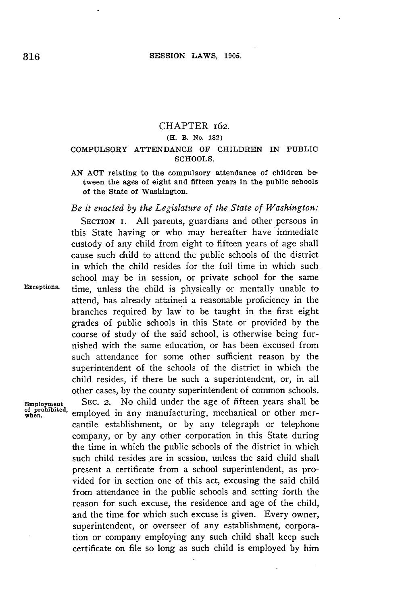### CHAPTER **162.**

#### **(H. B. No. 182)**

## COMPULSORY **ATTENDANCE** OF CHILDREN **IN PUBLIC SCHOOLS.**

**AN ACT** relating to the compulsory attendance of children between the ages of eight and fifteen years in the public schools of the State of Washington.

## *Be it enacted by the Legislature of the State of Washington:*

**SECTION I. All** parents, guardians and other persons in this State having or who may hereafter have immediate custody of any child from eight to fifteen years of age shall cause such child to attend the public schools of the district in which the child resides for the full time in which such school may be in session, or private school for the same **Exceptions.** time, unless the child is physically or mentally unable to attend, has already attained a reasonable proficiency in the branches required **by** law to be taught in the first eight grades of public schools in this State or provided **by** the course of study of the said school, is otherwise being furnished with the same education, or has been excused from such attendance for some other sufficient reason **by** the superintendent of the schools of the district in which the child resides, if there be such a superintendent, or, in all other cases, **by** the county superintendent of common schools.

Employment SEC. 2. No child under the age of fifteen years shall be of prohibited, employed in any manufacturing, mechanical or other meremployed in any manufacturing, mechanical or other mercantile establishment, or **by** any telegraph or telephone company, or **by** any other corporation in this State during the time in which the public schools of the district in which such child resides are in session, unless the said child shall present a certificate from a school superintendent, as provided for in section one of this act, excusing the said child from attendance in the public schools and setting forth the reason for such excuse, the residence and age of the child, and the time for which such excuse is given. Every owner, superintendent, or overseer of any establishment, corporation or company employing any such child shall keep such certificate on file so long as such child is employed **by** him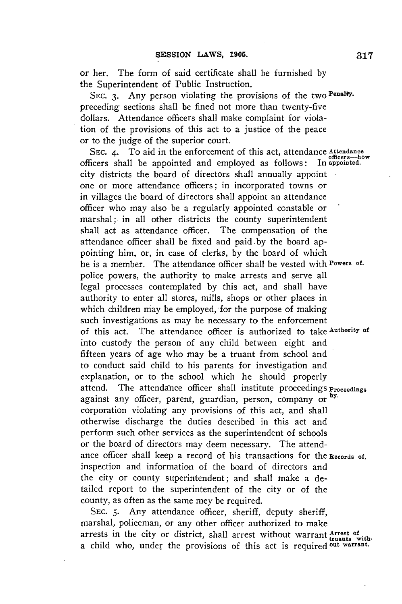or her. The form of said certificate shall be furnished **by** the Superintendent of Public Instruction.

**SEC. 3.** Any person violating the provisions of the two **PenalWy.** preceding sections shall be fined not more than twenty-five dollars. Attendance officers shall make complaint for violation of the provisions of this act to a justice of the peace or to the judge of the superior court.

**SEC.** 4. To aid in the enforcement of this act, attendance **Attendance** officers-how<br> **In** appointed. officers shall be appointed and employed as follows: city districts the board of directors shall annually appoint one or more attendance officers; in incorporated towns or in villages the board of directors shall appoint an attendance officer who may also be a regularly appointed constable or marshal; in all other districts the county superintendent shall act as attendance officer. The compensation of the attendance officer shall be fixed and paid by the board appointing him, or, in case of clerks, **by** the board of which he is a member. The attendance officer shall be vested with **Powers** *of.* police powers, the authority to make arrests and serve all legal processes contemplated **by** this act, and shall have authority to enter all stores, mills, shops or other places in which children may be employed, for the purpose of making such investigations as may be necessary to the enforcement of this act. The attendance officer is authorized to take **Authority of** into custody the person of any child between eight and fifteen years of age who may **be** a truant from school and to conduct said child to his parents for investigation and explanation, or to the school which he should properly attend. The attendance officer shall institute proceedings **Proceedings** against any officer, parent, guardian, person, company or **by.** corporation violating any provisions of this act, and shall otherwise discharge the duties described in this act and perform such other services as the superintendent of schools or the board of directors may deem necessary. The attendance officer shall keep a record of his transactions for the **Records of.** inspection and information of the board of directors and the city or county superintendent; and shall make a detailed report to the superintendent of the city or of the county, as often as the same mey be required.

**SEC. 5.** Any attendance officer, sheriff, deputy sheriff, marshal, policeman, or any other officer authorized to make arrests in the city or district, shall arrest without warrant **Arrest of** a child who, under the provisions of this act is required <sup>out warrant.</sup>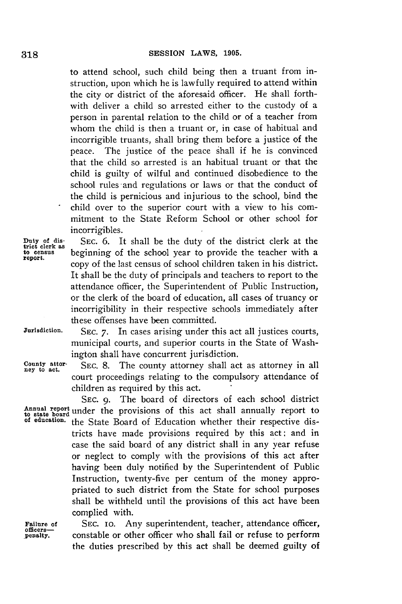to attend school, such child being then a truant from instruction, upon which he is lawfully required to attend within the city or district of the aforesaid officer. He shall forthwith deliver a child so arrested either to the custody of a person in parental relation to the child or of a teacher from whom the child is then a truant or, in case of habitual and incorrigible truants, shall bring them before a justice of the peace. The justice of the peace shall if he is convinced that the child so arrested is an habitual truant or that the child is guilty of wilful and continued disobedience to the school rules and regulations or laws or that the conduct of the child is pernicious and injurious to the school, bind the child over to the superior court with a view to his commitment to the State Reform School or other school for incorrigibles.

Duty of dis-<br>trict clerk as SEC. 6. It shall be the duty of the district clerk at the to census **beginning** of the school year to provide the teacher with a **report.** copy of the last census of school children taken in his district. It shall be the duty of principals and teachers to report to the attendance officer, the Superintendent of Public Instruction, or the clerk of the board of education, all cases of truancy or incorrigibility in their respective schools immediately after these offenses have been committed.

County attor-<br>ney to act.

**Jurisdiction. SEC. 7.** In cases arising under this act all justices courts, municipal courts, and superior courts in the State of Washington shall have concurrent jurisdiction.

> SEC. 8. The county attorney shall act as attorney in all court proceedings relating to the compulsory attendance of children as required **by** this act.

**SEC. 9.** The board of directors of each school district Annual report under the provisions of this act shall annually report to to state board under the provisions of this act shall annually report to<br>of education. **the State Board of Education whether their respective dis**tricts have made provisions required **by** this act: and in case the said board of any district shall in any year refuse or neglect to comply with the provisions of this act after having been duly notified **by** the Superintendent of Public Instruction, twenty-five per centum of the money appropriated to such district from the State for school purposes shall be withheld until the provisions of this act have been complied with.

**Failure of** SEC. 10. Any superintendent, teacher, attendance officer, penalty, constable or other officer who shall fail or refuse to perform constable or other officer who shall fail or refuse to perform the duties prescribed **by** this act shall be deemed guilty of